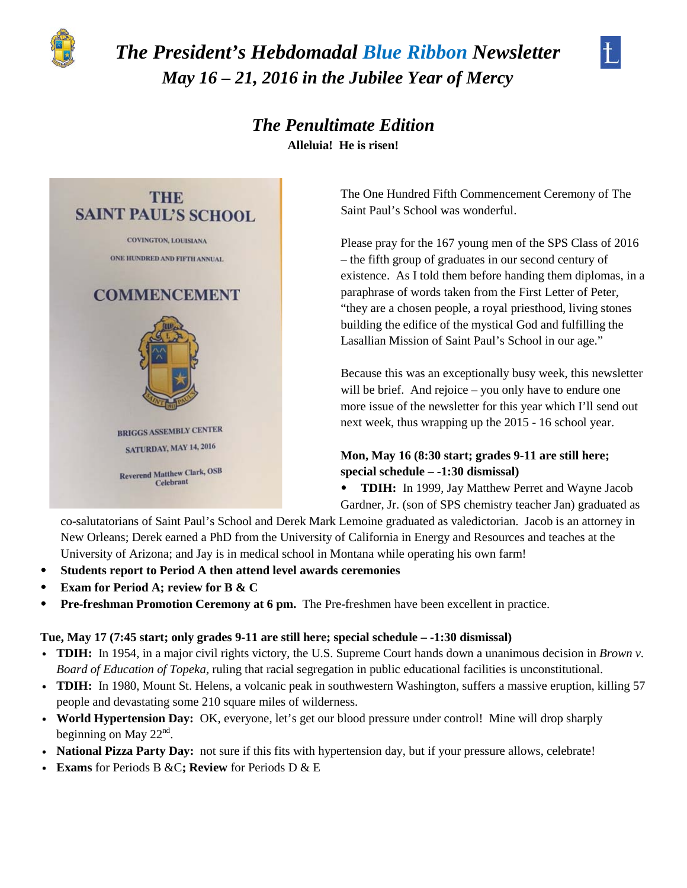

# *The President's Hebdomadal Blue Ribbon Newsletter May 16 – 21, 2016 in the Jubilee Year of Mercy*



*The Penultimate Edition* **Alleluia! He is risen!**



The One Hundred Fifth Commencement Ceremony of The Saint Paul's School was wonderful.

Please pray for the 167 young men of the SPS Class of 2016 – the fifth group of graduates in our second century of existence. As I told them before handing them diplomas, in a paraphrase of words taken from the First Letter of Peter, "they are a chosen people, a royal priesthood, living stones building the edifice of the mystical God and fulfilling the Lasallian Mission of Saint Paul's School in our age."

Because this was an exceptionally busy week, this newsletter will be brief. And rejoice – you only have to endure one more issue of the newsletter for this year which I'll send out next week, thus wrapping up the 2015 - 16 school year.

# **Mon, May 16 (8:30 start; grades 9-11 are still here; special schedule – -1:30 dismissal)**

• **TDIH:** In 1999, Jay Matthew Perret and Wayne Jacob Gardner, Jr. (son of SPS chemistry teacher Jan) graduated as

co-salutatorians of Saint Paul's School and Derek Mark Lemoine graduated as valedictorian. Jacob is an attorney in New Orleans; Derek earned a PhD from the University of California in Energy and Resources and teaches at the University of Arizona; and Jay is in medical school in Montana while operating his own farm!

- **Students report to Period A then attend level awards ceremonies**
- **Exam for Period A; review for B & C**
- **Pre-freshman Promotion Ceremony at 6 pm.** The Pre-freshmen have been excellent in practice.

# **Tue, May 17 (7:45 start; only grades 9-11 are still here; special schedule – -1:30 dismissal)**

- v **TDIH:** In 1954, in a major civil rights victory, the U.S. Supreme Court hands down a unanimous decision in *Brown v. Board of Education of Topeka,* ruling that racial segregation in public educational facilities is unconstitutional.
- v **TDIH:** In 1980, Mount St. Helens, a volcanic peak in southwestern Washington, suffers a massive eruption, killing 57 people and devastating some 210 square miles of wilderness.
- v **World Hypertension Day:** OK, everyone, let's get our blood pressure under control! Mine will drop sharply beginning on May  $22<sup>nd</sup>$ .
- **National Pizza Party Day:** not sure if this fits with hypertension day, but if your pressure allows, celebrate!
- v **Exams** for Periods B &C**; Review** for Periods D & E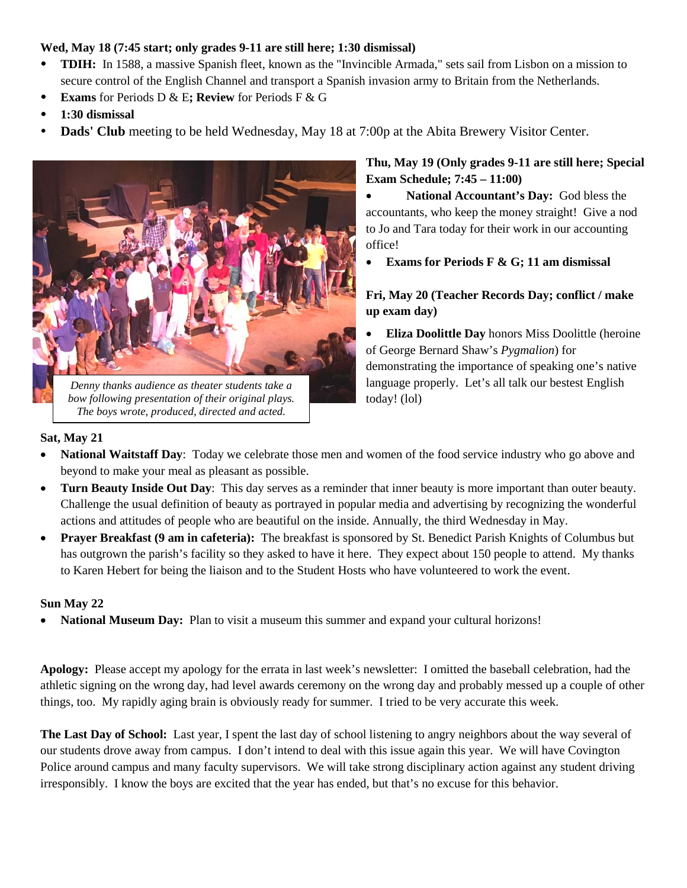# **Wed, May 18 (7:45 start; only grades 9-11 are still here; 1:30 dismissal)**

- **TDIH:** In 1588, a massive Spanish fleet, known as the "Invincible Armada," sets sail from Lisbon on a mission to secure control of the English Channel and transport a Spanish invasion army to Britain from the Netherlands.
- **Exams** for Periods D & E**; Review** for Periods F & G
- **1:30 dismissal**
- **Dads' Club** meeting to be held Wednesday, May 18 at 7:00p at the Abita Brewery Visitor Center.



*bow following presentation of their original plays. The boys wrote, produced, directed and acted.*

**Thu, May 19 (Only grades 9-11 are still here; Special Exam Schedule; 7:45 – 11:00)**

• **National Accountant's Day:** God bless the accountants, who keep the money straight! Give a nod to Jo and Tara today for their work in our accounting office!

• **Exams for Periods F & G; 11 am dismissal**

# **Fri, May 20 (Teacher Records Day; conflict / make up exam day)**

• **Eliza Doolittle Day** honors Miss Doolittle (heroine of George Bernard Shaw's *Pygmalion*) for demonstrating the importance of speaking one's native language properly. Let's all talk our bestest English today! (lol)

# **Sat, May 21**

- **National Waitstaff Day**: Today we celebrate those men and women of the food service industry who go above and beyond to make your meal as pleasant as possible.
- **Turn Beauty Inside Out Day**: This day serves as a reminder that inner beauty is more important than outer beauty. Challenge the usual definition of beauty as portrayed in popular media and advertising by recognizing the wonderful actions and attitudes of people who are beautiful on the inside. Annually, the third Wednesday in May.
- **Prayer Breakfast (9 am in cafeteria):** The breakfast is sponsored by St. Benedict Parish Knights of Columbus but has outgrown the parish's facility so they asked to have it here. They expect about 150 people to attend. My thanks to Karen Hebert for being the liaison and to the Student Hosts who have volunteered to work the event.

#### **Sun May 22**

**National Museum Day:** Plan to visit a museum this summer and expand your cultural horizons!

**Apology:** Please accept my apology for the errata in last week's newsletter: I omitted the baseball celebration, had the athletic signing on the wrong day, had level awards ceremony on the wrong day and probably messed up a couple of other things, too. My rapidly aging brain is obviously ready for summer. I tried to be very accurate this week.

**The Last Day of School:** Last year, I spent the last day of school listening to angry neighbors about the way several of our students drove away from campus. I don't intend to deal with this issue again this year. We will have Covington Police around campus and many faculty supervisors. We will take strong disciplinary action against any student driving irresponsibly. I know the boys are excited that the year has ended, but that's no excuse for this behavior.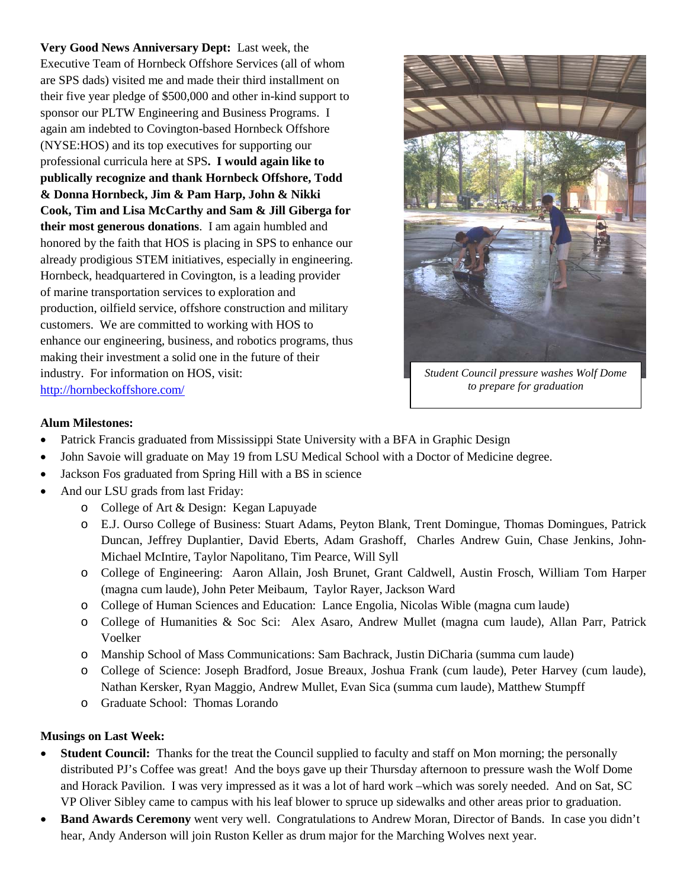**Very Good News Anniversary Dept:** Last week, the Executive Team of Hornbeck Offshore Services (all of whom are SPS dads) visited me and made their third installment on their five year pledge of \$500,000 and other in-kind support to sponsor our PLTW Engineering and Business Programs. I again am indebted to Covington-based Hornbeck Offshore (NYSE:HOS) and its top executives for supporting our professional curricula here at SPS**. I would again like to publically recognize and thank Hornbeck Offshore, Todd & Donna Hornbeck, Jim & Pam Harp, John & Nikki Cook, Tim and Lisa McCarthy and Sam & Jill Giberga for their most generous donations**. I am again humbled and honored by the faith that HOS is placing in SPS to enhance our already prodigious STEM initiatives, especially in engineering. Hornbeck, headquartered in Covington, is a leading provider of marine transportation services to exploration and production, oilfield service, offshore construction and military customers. We are committed to working with HOS to enhance our engineering, business, and robotics programs, thus making their investment a solid one in the future of their industry. For information on HOS, visit: <http://hornbeckoffshore.com/>



*Student Council pressure washes Wolf Dome to prepare for graduation*

## **Alum Milestones:**

- Patrick Francis graduated from Mississippi State University with a BFA in Graphic Design
- John Savoie will graduate on May 19 from LSU Medical School with a Doctor of Medicine degree.
- Jackson Fos graduated from Spring Hill with a BS in science
- And our LSU grads from last Friday:
	- o College of Art & Design: Kegan Lapuyade
	- o E.J. Ourso College of Business: Stuart Adams, Peyton Blank, Trent Domingue, Thomas Domingues, Patrick Duncan, Jeffrey Duplantier, David Eberts, Adam Grashoff, Charles Andrew Guin, Chase Jenkins, John-Michael McIntire, Taylor Napolitano, Tim Pearce, Will Syll
	- o College of Engineering: Aaron Allain, Josh Brunet, Grant Caldwell, Austin Frosch, William Tom Harper (magna cum laude), John Peter Meibaum, Taylor Rayer, Jackson Ward
	- o College of Human Sciences and Education: Lance Engolia, Nicolas Wible (magna cum laude)
	- o College of Humanities & Soc Sci: Alex Asaro, Andrew Mullet (magna cum laude), Allan Parr, Patrick Voelker
	- o Manship School of Mass Communications: Sam Bachrack, Justin DiCharia (summa cum laude)
	- o College of Science: Joseph Bradford, Josue Breaux, Joshua Frank (cum laude), Peter Harvey (cum laude), Nathan Kersker, Ryan Maggio, Andrew Mullet, Evan Sica (summa cum laude), Matthew Stumpff
	- o Graduate School: Thomas Lorando

#### **Musings on Last Week:**

- **Student Council:** Thanks for the treat the Council supplied to faculty and staff on Mon morning; the personally distributed PJ's Coffee was great! And the boys gave up their Thursday afternoon to pressure wash the Wolf Dome and Horack Pavilion. I was very impressed as it was a lot of hard work –which was sorely needed. And on Sat, SC VP Oliver Sibley came to campus with his leaf blower to spruce up sidewalks and other areas prior to graduation.
- **Band Awards Ceremony** went very well. Congratulations to Andrew Moran, Director of Bands. In case you didn't hear, Andy Anderson will join Ruston Keller as drum major for the Marching Wolves next year.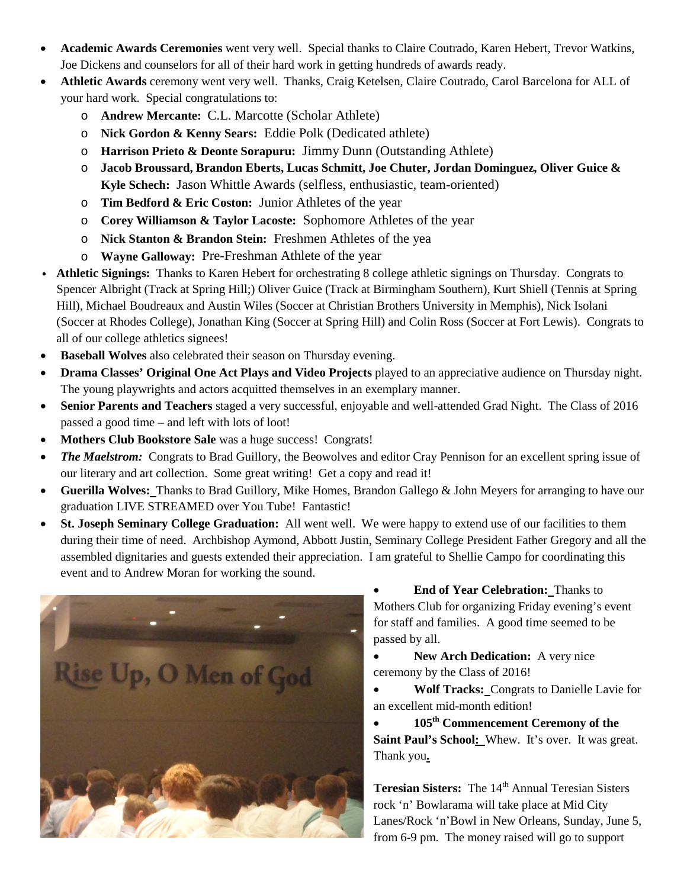- **Academic Awards Ceremonies** went very well. Special thanks to Claire Coutrado, Karen Hebert, Trevor Watkins, Joe Dickens and counselors for all of their hard work in getting hundreds of awards ready.
- **Athletic Awards** ceremony went very well. Thanks, Craig Ketelsen, Claire Coutrado, Carol Barcelona for ALL of your hard work. Special congratulations to:
	- o **Andrew Mercante:** C.L. Marcotte (Scholar Athlete)
	- o **Nick Gordon & Kenny Sears:** Eddie Polk (Dedicated athlete)
	- o **Harrison Prieto & Deonte Sorapuru:** Jimmy Dunn (Outstanding Athlete)
	- o **Jacob Broussard, Brandon Eberts, Lucas Schmitt, Joe Chuter, Jordan Dominguez, Oliver Guice & Kyle Schech:** Jason Whittle Awards (selfless, enthusiastic, team-oriented)
	- o **Tim Bedford & Eric Coston:** Junior Athletes of the year
	- o **Corey Williamson & Taylor Lacoste:** Sophomore Athletes of the year
	- o **Nick Stanton & Brandon Stein:** Freshmen Athletes of the yea
	- o **Wayne Galloway:** Pre-Freshman Athlete of the year
- v **Athletic Signings:** Thanks to Karen Hebert for orchestrating 8 college athletic signings on Thursday. Congrats to Spencer Albright (Track at Spring Hill;) Oliver Guice (Track at Birmingham Southern), Kurt Shiell (Tennis at Spring Hill), Michael Boudreaux and Austin Wiles (Soccer at Christian Brothers University in Memphis), Nick Isolani (Soccer at Rhodes College), Jonathan King (Soccer at Spring Hill) and Colin Ross (Soccer at Fort Lewis). Congrats to all of our college athletics signees!
- **Baseball Wolves** also celebrated their season on Thursday evening.
- **Drama Classes' Original One Act Plays and Video Projects** played to an appreciative audience on Thursday night. The young playwrights and actors acquitted themselves in an exemplary manner.
- **Senior Parents and Teachers** staged a very successful, enjoyable and well-attended Grad Night. The Class of 2016 passed a good time – and left with lots of loot!
- **Mothers Club Bookstore Sale** was a huge success! Congrats!
- *The Maelstrom:* Congrats to Brad Guillory, the Beowolves and editor Cray Pennison for an excellent spring issue of our literary and art collection. Some great writing! Get a copy and read it!
- **Guerilla Wolves:** Thanks to Brad Guillory, Mike Homes, Brandon Gallego & John Meyers for arranging to have our graduation LIVE STREAMED over You Tube! Fantastic!
- **St. Joseph Seminary College Graduation:** All went well. We were happy to extend use of our facilities to them during their time of need. Archbishop Aymond, Abbott Justin, Seminary College President Father Gregory and all the assembled dignitaries and guests extended their appreciation. I am grateful to Shellie Campo for coordinating this event and to Andrew Moran for working the sound.



• **End of Year Celebration:** Thanks to Mothers Club for organizing Friday evening's event for staff and families. A good time seemed to be passed by all.

• **New Arch Dedication:** A very nice ceremony by the Class of 2016!

• **Wolf Tracks:** Congrats to Danielle Lavie for an excellent mid-month edition!

• **105th Commencement Ceremony of the**  Saint Paul's School: Whew. It's over. It was great. Thank you**.**

**Teresian Sisters:** The 14<sup>th</sup> Annual Teresian Sisters rock 'n' Bowlarama will take place at Mid City Lanes/Rock 'n'Bowl in New Orleans, Sunday, June 5, from 6-9 pm. The money raised will go to support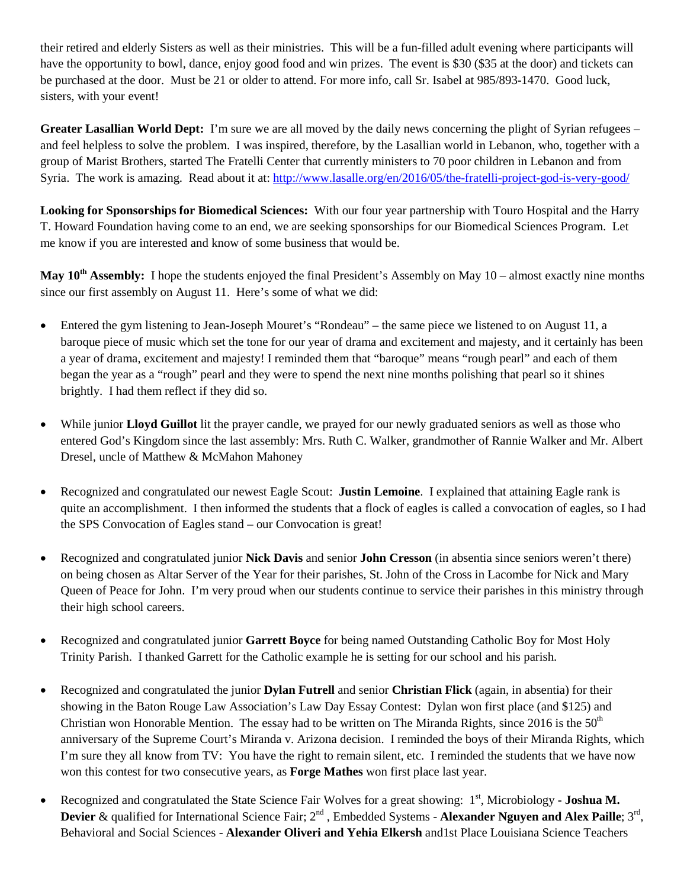their retired and elderly Sisters as well as their ministries. This will be a fun-filled adult evening where participants will have the opportunity to bowl, dance, enjoy good food and win prizes. The event is \$30 (\$35 at the door) and tickets can be purchased at the door. Must be 21 or older to attend. For more info, call Sr. Isabel at 985/893-1470. Good luck, sisters, with your event!

**Greater Lasallian World Dept:** I'm sure we are all moved by the daily news concerning the plight of Syrian refugees – and feel helpless to solve the problem. I was inspired, therefore, by the Lasallian world in Lebanon, who, together with a group of Marist Brothers, started The Fratelli Center that currently ministers to 70 poor children in Lebanon and from Syria. The work is amazing. Read about it at:<http://www.lasalle.org/en/2016/05/the-fratelli-project-god-is-very-good/>

**Looking for Sponsorships for Biomedical Sciences:** With our four year partnership with Touro Hospital and the Harry T. Howard Foundation having come to an end, we are seeking sponsorships for our Biomedical Sciences Program. Let me know if you are interested and know of some business that would be.

**May 10<sup>th</sup> Assembly:** I hope the students enjoyed the final President's Assembly on May 10 – almost exactly nine months since our first assembly on August 11. Here's some of what we did:

- Entered the gym listening to Jean-Joseph Mouret's "Rondeau" the same piece we listened to on August 11, a baroque piece of music which set the tone for our year of drama and excitement and majesty, and it certainly has been a year of drama, excitement and majesty! I reminded them that "baroque" means "rough pearl" and each of them began the year as a "rough" pearl and they were to spend the next nine months polishing that pearl so it shines brightly. I had them reflect if they did so.
- While junior **Lloyd Guillot** lit the prayer candle, we prayed for our newly graduated seniors as well as those who entered God's Kingdom since the last assembly: Mrs. Ruth C. Walker, grandmother of Rannie Walker and Mr. Albert Dresel, uncle of Matthew & McMahon Mahoney
- Recognized and congratulated our newest Eagle Scout: **Justin Lemoine**. I explained that attaining Eagle rank is quite an accomplishment. I then informed the students that a flock of eagles is called a convocation of eagles, so I had the SPS Convocation of Eagles stand – our Convocation is great!
- Recognized and congratulated junior **Nick Davis** and senior **John Cresson** (in absentia since seniors weren't there) on being chosen as Altar Server of the Year for their parishes, St. John of the Cross in Lacombe for Nick and Mary Queen of Peace for John. I'm very proud when our students continue to service their parishes in this ministry through their high school careers.
- Recognized and congratulated junior **Garrett Boyce** for being named Outstanding Catholic Boy for Most Holy Trinity Parish. I thanked Garrett for the Catholic example he is setting for our school and his parish.
- Recognized and congratulated the junior **Dylan Futrell** and senior **Christian Flick** (again, in absentia) for their showing in the Baton Rouge Law Association's Law Day Essay Contest: Dylan won first place (and \$125) and Christian won Honorable Mention. The essay had to be written on The Miranda Rights, since 2016 is the  $50<sup>th</sup>$ anniversary of the Supreme Court's Miranda v. Arizona decision. I reminded the boys of their Miranda Rights, which I'm sure they all know from TV: You have the right to remain silent, etc. I reminded the students that we have now won this contest for two consecutive years, as **Forge Mathes** won first place last year.
- Recognized and congratulated the State Science Fair Wolves for a great showing: 1<sup>st</sup>, Microbiology  **Joshua M. Devier & qualified for International Science Fair; 2<sup>nd</sup>, Embedded Systems - Alexander Nguyen and Alex Paille; 3<sup>rd</sup>,** Behavioral and Social Sciences - **Alexander Oliveri and Yehia Elkersh** and1st Place Louisiana Science Teachers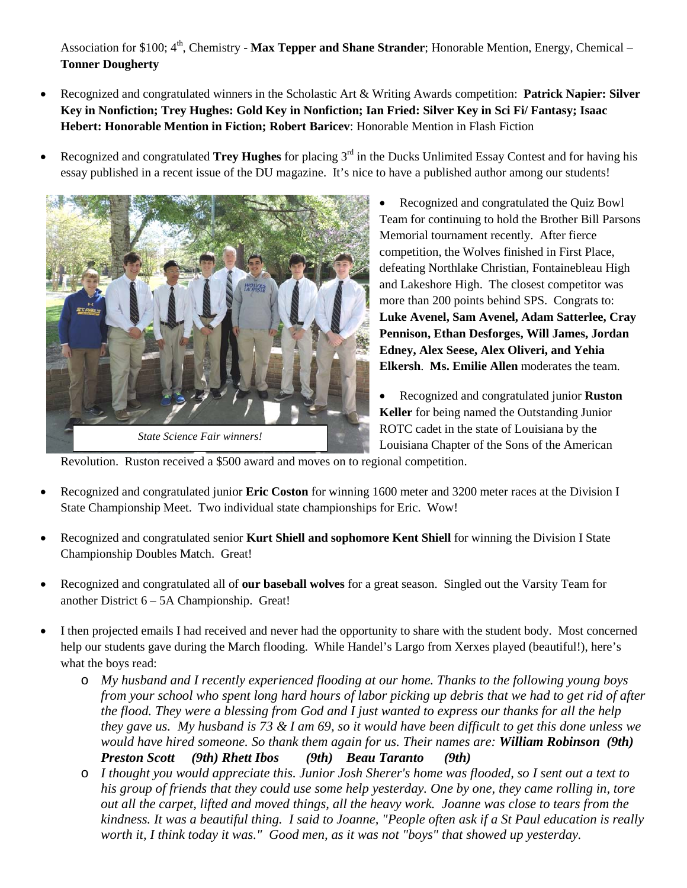Association for \$100; 4<sup>th</sup>, Chemistry - **Max Tepper and Shane Strander**; Honorable Mention, Energy, Chemical – **Tonner Dougherty** 

- Recognized and congratulated winners in the Scholastic Art & Writing Awards competition: **Patrick Napier: Silver Key in Nonfiction; Trey Hughes: Gold Key in Nonfiction; Ian Fried: Silver Key in Sci Fi/ Fantasy; Isaac Hebert: Honorable Mention in Fiction; Robert Baricev**: Honorable Mention in Flash Fiction
- Recognized and congratulated **Trey Hughes** for placing 3<sup>rd</sup> in the Ducks Unlimited Essay Contest and for having his essay published in a recent issue of the DU magazine. It's nice to have a published author among our students!



- Recognized and congratulated the Quiz Bowl Team for continuing to hold the Brother Bill Parsons Memorial tournament recently. After fierce competition, the Wolves finished in First Place, defeating Northlake Christian, Fontainebleau High and Lakeshore High. The closest competitor was more than 200 points behind SPS. Congrats to: **Luke Avenel, Sam Avenel, Adam Satterlee, Cray Pennison, Ethan Desforges, Will James, Jordan Edney, Alex Seese, Alex Oliveri, and Yehia Elkersh**. **Ms. Emilie Allen** moderates the team.
- Recognized and congratulated junior **Ruston Keller** for being named the Outstanding Junior ROTC cadet in the state of Louisiana by the Louisiana Chapter of the Sons of the American

Revolution. Ruston received a \$500 award and moves on to regional competition.

- Recognized and congratulated junior **Eric Coston** for winning 1600 meter and 3200 meter races at the Division I State Championship Meet. Two individual state championships for Eric. Wow!
- Recognized and congratulated senior **Kurt Shiell and sophomore Kent Shiell** for winning the Division I State Championship Doubles Match. Great!
- Recognized and congratulated all of **our baseball wolves** for a great season. Singled out the Varsity Team for another District 6 – 5A Championship. Great!
- I then projected emails I had received and never had the opportunity to share with the student body. Most concerned help our students gave during the March flooding. While Handel's Largo from Xerxes played (beautiful!), here's what the boys read:
	- o *My husband and I recently experienced flooding at our home. Thanks to the following young boys from your school who spent long hard hours of labor picking up debris that we had to get rid of after the flood. They were a blessing from God and I just wanted to express our thanks for all the help they gave us. My husband is 73 & I am 69, so it would have been difficult to get this done unless we would have hired someone. So thank them again for us. Their names are: William Robinson (9th) Preston Scott (9th) Rhett Ibos (9th) Beau Taranto (9th)*
	- o *I thought you would appreciate this. Junior Josh Sherer's home was flooded, so I sent out a text to his group of friends that they could use some help yesterday. One by one, they came rolling in, tore out all the carpet, lifted and moved things, all the heavy work. Joanne was close to tears from the kindness. It was a beautiful thing. I said to Joanne, "People often ask if a St Paul education is really worth it, I think today it was." Good men, as it was not "boys" that showed up yesterday.*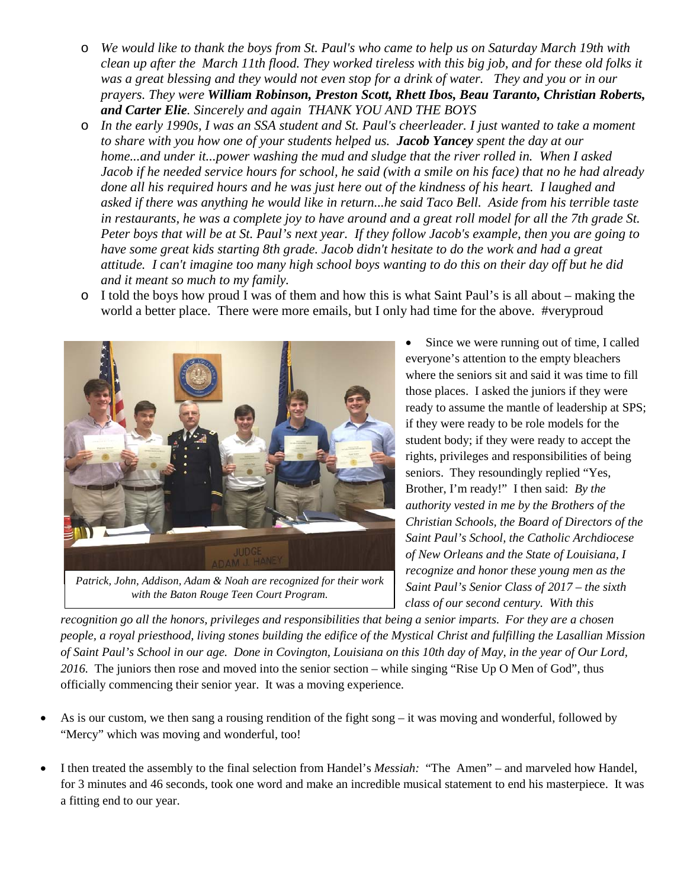- o *We would like to thank the boys from St. Paul's who came to help us on Saturday March 19th with clean up after the March 11th flood. They worked tireless with this big job, and for these old folks it was a great blessing and they would not even stop for a drink of water. They and you or in our prayers. They were William Robinson, Preston Scott, Rhett Ibos, Beau Taranto, Christian Roberts, and Carter Elie. Sincerely and again THANK YOU AND THE BOYS*
- o *In the early 1990s, I was an SSA student and St. Paul's cheerleader. I just wanted to take a moment to share with you how one of your students helped us. Jacob Yancey spent the day at our home...and under it...power washing the mud and sludge that the river rolled in. When I asked Jacob if he needed service hours for school, he said (with a smile on his face) that no he had already done all his required hours and he was just here out of the kindness of his heart. I laughed and asked if there was anything he would like in return...he said Taco Bell. Aside from his terrible taste in restaurants, he was a complete joy to have around and a great roll model for all the 7th grade St. Peter boys that will be at St. Paul's next year. If they follow Jacob's example, then you are going to have some great kids starting 8th grade. Jacob didn't hesitate to do the work and had a great attitude. I can't imagine too many high school boys wanting to do this on their day off but he did and it meant so much to my family.*
- o I told the boys how proud I was of them and how this is what Saint Paul's is all about making the world a better place. There were more emails, but I only had time for the above. #veryproud



*Patrick, John, Addison, Adam & Noah are recognized for their work with the Baton Rouge Teen Court Program.*

• Since we were running out of time, I called everyone's attention to the empty bleachers where the seniors sit and said it was time to fill those places. I asked the juniors if they were ready to assume the mantle of leadership at SPS; if they were ready to be role models for the student body; if they were ready to accept the rights, privileges and responsibilities of being seniors. They resoundingly replied "Yes, Brother, I'm ready!" I then said: *By the authority vested in me by the Brothers of the Christian Schools, the Board of Directors of the Saint Paul's School, the Catholic Archdiocese of New Orleans and the State of Louisiana, I recognize and honor these young men as the Saint Paul's Senior Class of 2017 – the sixth class of our second century. With this* 

*recognition go all the honors, privileges and responsibilities that being a senior imparts. For they are a chosen people, a royal priesthood, living stones building the edifice of the Mystical Christ and fulfilling the Lasallian Mission of Saint Paul's School in our age. Done in Covington, Louisiana on this 10th day of May, in the year of Our Lord, 2016.* The juniors then rose and moved into the senior section – while singing "Rise Up O Men of God", thus officially commencing their senior year. It was a moving experience.

- As is our custom, we then sang a rousing rendition of the fight song it was moving and wonderful, followed by "Mercy" which was moving and wonderful, too!
- I then treated the assembly to the final selection from Handel's *Messiah:* "The Amen" and marveled how Handel, for 3 minutes and 46 seconds, took one word and make an incredible musical statement to end his masterpiece. It was a fitting end to our year.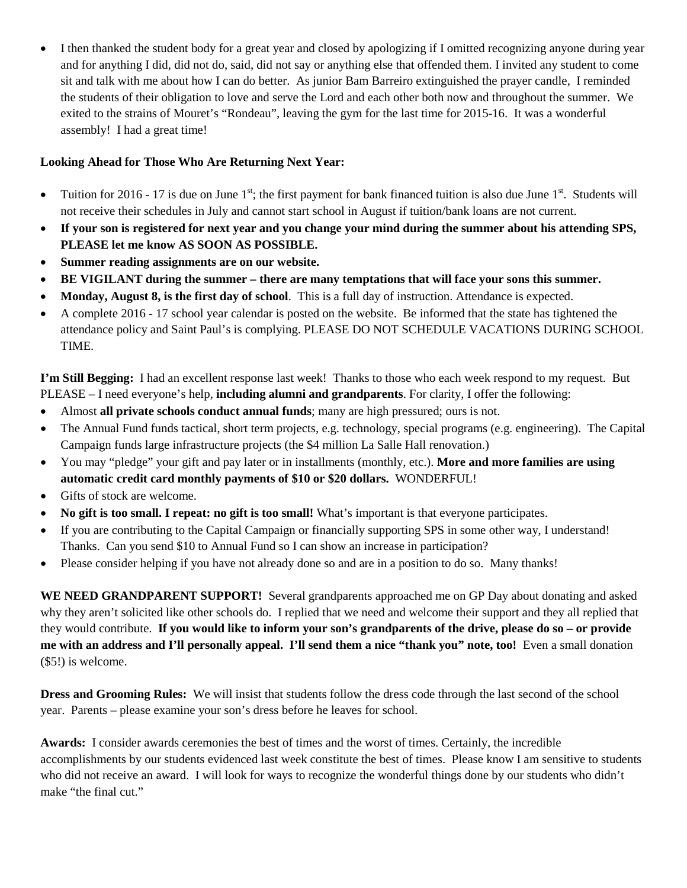• I then thanked the student body for a great year and closed by apologizing if I omitted recognizing anyone during year and for anything I did, did not do, said, did not say or anything else that offended them. I invited any student to come sit and talk with me about how I can do better. As junior Bam Barreiro extinguished the prayer candle, I reminded the students of their obligation to love and serve the Lord and each other both now and throughout the summer. We exited to the strains of Mouret's "Rondeau", leaving the gym for the last time for 2015-16. It was a wonderful assembly! I had a great time!

# **Looking Ahead for Those Who Are Returning Next Year:**

- Tuition for 2016 17 is due on June  $1^{st}$ ; the first payment for bank financed tuition is also due June  $1^{st}$ . Students will not receive their schedules in July and cannot start school in August if tuition/bank loans are not current.
- **If your son is registered for next year and you change your mind during the summer about his attending SPS, PLEASE let me know AS SOON AS POSSIBLE.**
- **Summer reading assignments are on our website.**
- **BE VIGILANT during the summer – there are many temptations that will face your sons this summer.**
- **Monday, August 8, is the first day of school**. This is a full day of instruction. Attendance is expected.
- A complete 2016 17 school year calendar is posted on the website. Be informed that the state has tightened the attendance policy and Saint Paul's is complying. PLEASE DO NOT SCHEDULE VACATIONS DURING SCHOOL TIME.

**I'm Still Begging:** I had an excellent response last week! Thanks to those who each week respond to my request. But PLEASE – I need everyone's help, **including alumni and grandparents**. For clarity, I offer the following:

- Almost **all private schools conduct annual funds**; many are high pressured; ours is not.
- The Annual Fund funds tactical, short term projects, e.g. technology, special programs (e.g. engineering). The Capital Campaign funds large infrastructure projects (the \$4 million La Salle Hall renovation.)
- You may "pledge" your gift and pay later or in installments (monthly, etc.). **More and more families are using automatic credit card monthly payments of \$10 or \$20 dollars.** WONDERFUL!
- Gifts of stock are welcome.
- **No gift is too small. I repeat: no gift is too small!** What's important is that everyone participates.
- If you are contributing to the Capital Campaign or financially supporting SPS in some other way, I understand! Thanks. Can you send \$10 to Annual Fund so I can show an increase in participation?
- Please consider helping if you have not already done so and are in a position to do so. Many thanks!

**WE NEED GRANDPARENT SUPPORT!** Several grandparents approached me on GP Day about donating and asked why they aren't solicited like other schools do. I replied that we need and welcome their support and they all replied that they would contribute. **If you would like to inform your son's grandparents of the drive, please do so – or provide me with an address and I'll personally appeal. I'll send them a nice "thank you" note, too!** Even a small donation (\$5!) is welcome.

**Dress and Grooming Rules:** We will insist that students follow the dress code through the last second of the school year. Parents – please examine your son's dress before he leaves for school.

**Awards:** I consider awards ceremonies the best of times and the worst of times. Certainly, the incredible accomplishments by our students evidenced last week constitute the best of times. Please know I am sensitive to students who did not receive an award. I will look for ways to recognize the wonderful things done by our students who didn't make "the final cut."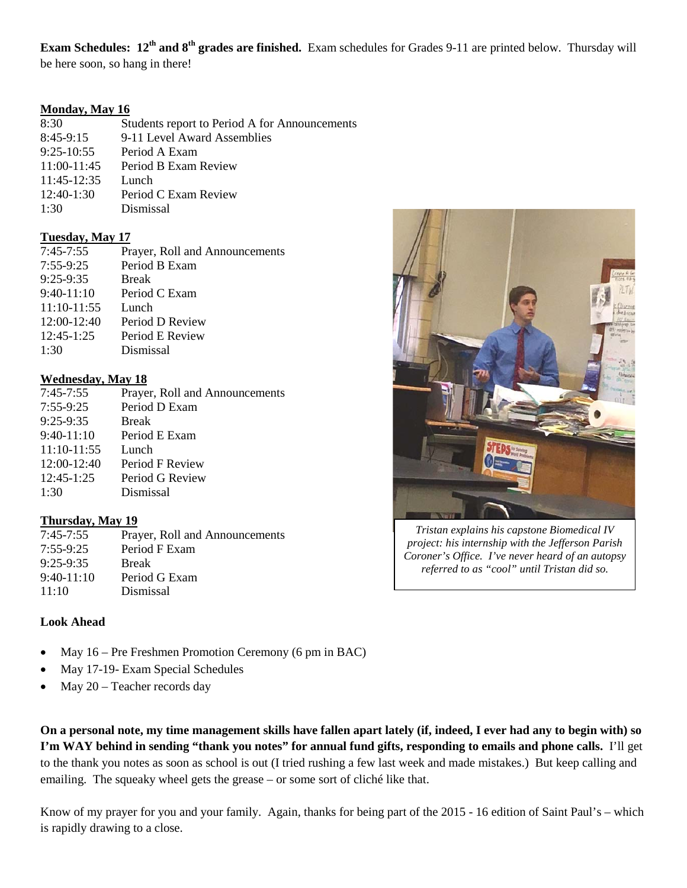**Exam Schedules: 12th and 8th grades are finished.** Exam schedules for Grades 9-11 are printed below. Thursday will be here soon, so hang in there!

## **Monday, May 16**

| 8:30          | Students report to Period A for Announcements |
|---------------|-----------------------------------------------|
| $8:45-9:15$   | 9-11 Level Award Assemblies                   |
| $9:25-10:55$  | Period A Exam                                 |
| $11:00-11:45$ | Period B Exam Review                          |
| 11:45-12:35   | Lunch                                         |
| $12:40-1:30$  | Period C Exam Review                          |
| 1:30          | Dismissal                                     |

## **Tuesday, May 17**

| $7:45-7:55$   | Prayer, Roll and Announcements |
|---------------|--------------------------------|
| $7:55-9:25$   | Period B Exam                  |
| 9:25-9:35     | <b>Break</b>                   |
| $9:40-11:10$  | Period C Exam                  |
| $11:10-11:55$ | Lunch                          |
| 12:00-12:40   | Period D Review                |
| $12:45-1:25$  | Period E Review                |
| 1:30          | Dismissal                      |
|               |                                |

# **Wednesday, May 18**

| $7:45-7:55$   | Prayer, Roll and Announcements |
|---------------|--------------------------------|
| $7:55-9:25$   | Period D Exam                  |
| $9:25-9:35$   | <b>Break</b>                   |
| $9:40-11:10$  | Period E Exam                  |
| $11:10-11:55$ | Lunch                          |
| $12:00-12:40$ | Period F Review                |
| $12:45-1:25$  | Period G Review                |
| 1:30          | Dismissal                      |
|               |                                |

# **Thursday, May 19**

| Prayer, Roll and Announcements |
|--------------------------------|
| Period F Exam                  |
| <b>Break</b>                   |
| Period G Exam                  |
| Dismissal                      |
|                                |

# **Look Ahead**

- May 16 Pre Freshmen Promotion Ceremony (6 pm in BAC)
- May 17-19- Exam Special Schedules
- May 20 Teacher records day

**On a personal note, my time management skills have fallen apart lately (if, indeed, I ever had any to begin with) so I'm WAY behind in sending "thank you notes" for annual fund gifts, responding to emails and phone calls.** I'll get to the thank you notes as soon as school is out (I tried rushing a few last week and made mistakes.) But keep calling and emailing. The squeaky wheel gets the grease – or some sort of cliché like that.

Know of my prayer for you and your family. Again, thanks for being part of the 2015 - 16 edition of Saint Paul's – which is rapidly drawing to a close.



*Tristan explains his capstone Biomedical IV project: his internship with the Jefferson Parish Coroner's Office. I've never heard of an autopsy referred to as "cool" until Tristan did so.*